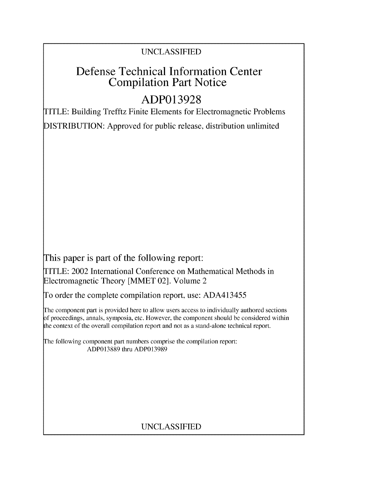### UNCLASSIFIED

## Defense Technical Information Center Compilation Part Notice

# **ADP013928**

TITLE: Building Trefftz Finite Elements for Electromagnetic Problems

DISTRIBUTION: Approved for public release, distribution unlimited

This paper is part of the following report:

TITLE: 2002 International Conference on Mathematical Methods in Electromagnetic Theory [MMET 02]. Volume 2

To order the complete compilation report, use: ADA413455

The component part is provided here to allow users access to individually authored sections f proceedings, annals, symposia, etc. However, the component should be considered within the context of the overall compilation report and not as a stand-alone technical report.

The following component part numbers comprise the compilation report: ADP013889 thru ADP013989

## UNCLASSIFIED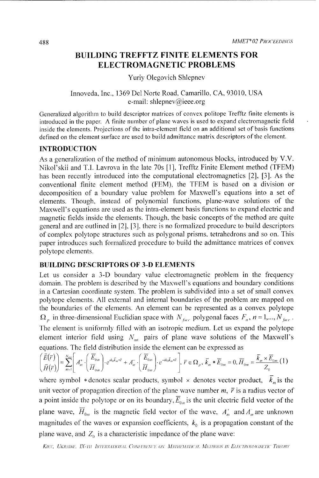### **BUILDING** TREFFTZ **FINITE ELEMENTS** FOR **ELECTROMAGNETIC** PROBLEMS

Yuriy Olegovich Shlepnev

#### Innoveda, Inc., 1369 Del Norte Road, Camarillo, CA, 93010, USA e-mail: shlepnev@ieee.org

Generalized algorithmn to build descriptor matrices of convex politope Trefftz finite elements is introduced in the paper. A finite number of plane waves is used to expand electromagnetic field inside the elements. Projections of the intra-element field on an additional set of basis functions defined on the element surface are used to build admittance matrix descriptors of the element.

#### **INTRODUCTION**

As a generalization of the method of minimum autonomous blocks, introduced by V.V. Nikol'skii and T.I. Lavrova in the late 70s [1], Trefftz Finite Element method (TFEM) has been recently introduced into the computational electromagnetics [2], [3]. As the conventional finite element method (FEM), the TFEM is based on a division or decomposition of a boundary value problem for Maxwell's equations into a set of elements. Though, instead of polynomial functions, plane-wave solutions of the Maxwell's equations are used as the intra-element basis functions to expand electric and magnetic fields inside the elements. Though, the basic concepts of the method are quite general and are outlined in [2], **[3],** there is no formalized procedure to build descriptors of complex polytope structures such as polygonal prisms. tetrahedrons and so on. This paper introduces such formalized procedure to build the admittance matrices of convex polytope elements.

#### **BUILDING** DESCRIPTORS OF **3-D ELEMENTS**

Let us consider a 3-D boundary value electromagnetic problem in the frequency domain. The problem is described by the Maxwell's equations and boundary conditions in a Cartesian coordinate system. The problem is subdivided into a set of small convex polytope elements. All external and internal boundaries of the problem are mapped on the boundaries of the elements. An element can be represented as a convex polytope  $\Omega_p$  in three-dimensional Euclidian space with  $N_{\text{face}}$  polygonal faces  $F_n$ ,  $n = 1,..., N_{\text{face}}$ . The element is uniformly filled with an isotropic medium. Let us expand the polytope element interior field using  $N_{\text{int}}$  pairs of plane wave solutions of the Maxwell's

equations. The field distribution inside the element can be expressed as\n
$$
\left(\frac{\vec{E}(\vec{r})}{\vec{H}(\vec{r})}\right) = \sum_{m=1}^{N_{\text{in}}}\left[A_m^+\cdot\left(\frac{\vec{E}_{0m}}{H_{0m}}\right)\cdot e^{ik_0\vec{k}_m\cdot\vec{r}} + A_m^-\cdot\left(\frac{\vec{E}_{0m}}{H_{0m}}\right)\cdot e^{-ik_0\vec{k}_m\cdot\vec{r}}\right], \ \vec{r} \in \Omega_p, \ \vec{k}_m * \vec{E}_{0m} = 0, \ \vec{H}_{0m} = \frac{\vec{k}_m \times \vec{E}_{0m}}{Z_0} \tag{1}
$$

where symbol \* denotes scalar products, symbol  $\times$  denotes vector product,  $\overline{k}_m$  is the unit vector of propagation direction of the plane wave number  $m$ ,  $\bar{r}$  is a radius vector of a point inside the polytope or on its boundary,  $\overline{E}_{0m}$  is the unit electric field vector of the plane wave,  $\overline{H}_{0m}$  is the magnetic field vector of the wave,  $A_m^+$  and  $A_m^-$  are unknown magnitudes of the waves or expansion coefficients,  $k_0$  is a propagation constant of the plane wave, and  $Z_0$  is a characteristic impedance of the plane wave: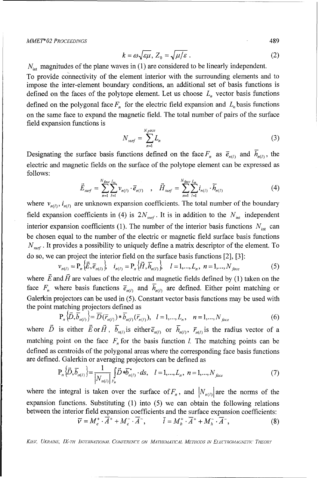$$
k = \omega \sqrt{\varepsilon \mu}, Z_0 = \sqrt{\mu/\varepsilon}.
$$
 (2)

 $N_{\text{int}}$  magnitudes of the plane waves in (1) are considered to be linearly independent.

To provide connectivity of the element interior with the surrounding elements and to impose the inter-element boundary conditions, an additional set of basis functions is defined on the faces of the polytope element. Let us choose  $L_n$  vector basis functions defined on the polygonal face  $F<sub>n</sub>$  for the electric field expansion and  $L<sub>n</sub>$  basis functions on the same face to expand the magnetic field. The total number of pairs of the surface field expansion functions is

$$
N_{\text{surf}} = \sum_{n=1}^{N_f ace} L_n \tag{3}
$$

Designating the surface basis functions defined on the face  $F_n$  as  $\bar{e}_{n(l)}$  and  $\bar{h}_{n(l)}$ , the electric and magnetic fields on the surface of the polytope element can be expressed as follows:

$$
\vec{E}_{surf} = \sum_{n=1}^{N_{face}} \sum_{l=1}^{I_n} \nu_{n(l)} \cdot \vec{e}_{n(l)} \quad , \quad \vec{H}_{surf} = \sum_{n=1}^{N_{face}} \sum_{l=1}^{I_n} i_{n(l)} \cdot \vec{h}_{n(l)} \tag{4}
$$

where  $v_{n(l)}$ ,  $i_{n(l)}$  are unknown expansion coefficients. The total number of the boundary field expansion coefficients in (4) is  $2N_{surf}$ . It is in addition to the  $N_{int}$  independent interior expansion coefficients (1). The number of the interior basis functions  $N_{\text{int}}$  can be chosen equal to the number of the electric or magnetic field surface basis functions *N<sub>suf</sub>*. It provides a possibility to uniquely define a matrix descriptor of the element. To do so, we can project the interior field on the surface basis functions [2], [3]:

$$
v_{n(l)} = P_n \left\{ \vec{E}, \vec{e}_{n(l)} \right\}, \quad i_{n(l)} = P_n \left\{ \vec{H}, \vec{h}_{n(l)} \right\}, \quad l = 1, ..., L_n, \ n = 1, ..., N_{face}
$$
 (5)

where  $\vec{E}$  and  $\vec{H}$  are values of the electric and magnetic fields defined by (1) taken on the face  $F_n$  where basis functions  $\bar{e}_{n(l)}$  and  $\bar{h}_{n(l)}$  are defined. Either point matching or Galerkin projectors can be used in (5). Constant vector basis functions may be used with the point matching projectors defined as

$$
P_n\{\vec{D}, \overline{b}_{n(l)}\} = \overline{D}(\overline{r}_{n(l)}) \ast \overline{b}_{n(l)}(\overline{r}_{n(l)}), \quad l = 1,...,L_n, \quad n = 1,...,N_{face}
$$
(6)

matching point on the face  $F<sub>n</sub>$  for the basis function *l*. The matching points can be defined as centroids of the polygonal areas where the corresponding face basis functions are defined. Galerkin or averaging projectors can be defined as

$$
P_{n}\left\{\vec{D}, \vec{b}_{n(l)}\right\} = \frac{1}{|N_{n(l)}|} \int_{F_{n}} \vec{D} * \vec{b}_{n(l)}^* \cdot ds, \quad l = 1,...,L_{n}, \ n = 1,...,N_{face}
$$
 (7)

where the integral is taken over the surface of  $F_n$ , and  $N_{n(l)}$  are the norms of the expansion functions. Substituting (1) into (5) we can obtain the following relations between the interior field expansion coefficients and the surface expansion coefficients:  $\vec{v} = M^+$ ,  $\vec{A}^+ + M^-$ ,  $\vec{A}^-$ ,  $\vec{i} = M^+$ ,  $\vec{A}^+ + M^-$ ,  $\vec{A}^-$  (8)

$$
\overline{V} = M_e^+ \cdot \overline{A}^+ + M_e^- \cdot \overline{A}^-, \qquad \overline{i} = M_h^+ \cdot \overline{A}^+ + M_h^- \cdot \overline{A}^-, \tag{8}
$$

KIEV, UKRAINE, IX-TH INTERNATIONAL CONFERENCE ON MATHEMATICAL METHODS IN ELECTROMAGNETIC THEORY